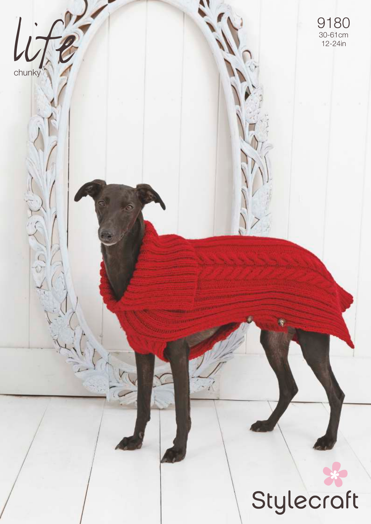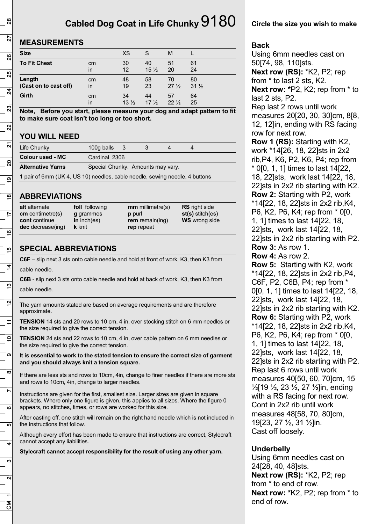# **Cabled Dog Coat in Life Chunky** 9180

# **MEASUREMENTS**

| <b>Size</b>           |    | <b>XS</b>       | S               | м               |                 |
|-----------------------|----|-----------------|-----------------|-----------------|-----------------|
| <b>To Fit Chest</b>   | cm | 30              | 40              | 51              | 61              |
|                       | in | 12              | $15\frac{1}{2}$ | 20              | 24              |
| Length                | cm | 48              | 58              | 70              | 80              |
| (Cast on to cast off) | in | 19              | 23              | $27\frac{1}{2}$ | $31\frac{1}{2}$ |
| <b>Girth</b>          | cm | 34              | 44              | 57              | 64              |
|                       | in | $13\frac{1}{2}$ | $17\frac{1}{2}$ | $22\frac{1}{2}$ | 25              |

**Note, Before you start, please measure your dog and adapt pattern to fit to make sure coat isn't too long or too short.**

# **YOU WILL NEED**

| Life Chunky                                                                 | 100g balls $3$                    |  |  |  |  |  |
|-----------------------------------------------------------------------------|-----------------------------------|--|--|--|--|--|
| <b>Colour used - MC</b>                                                     | Cardinal 2306                     |  |  |  |  |  |
| <b>Alternative Yarns</b>                                                    | Special Chunky. Amounts may vary. |  |  |  |  |  |
| 1 pair of 6mm (UK 4, US 10) needles, cable needle, sewing needle, 4 buttons |                                   |  |  |  |  |  |

## **ABBREVIATIONS**

| alt alternate<br>$cm$ centimetre(s)<br><b>cont</b> continue<br><b>dec</b> decrease(ing) | foll following<br><b>q</b> grammes<br>in $inch(es)$<br><b>k</b> knit | $mm$ millimetre(s)<br>p purl<br>rem remain(ing)<br>rep repeat | <b>RS</b> right side<br>$st(s)$ stitch(es)<br><b>WS</b> wrong side |
|-----------------------------------------------------------------------------------------|----------------------------------------------------------------------|---------------------------------------------------------------|--------------------------------------------------------------------|
|                                                                                         |                                                                      |                                                               |                                                                    |

# **SPECIAL ABBREVIATIONS**

**C6F** – slip next 3 sts onto cable needle and hold at front of work, K3, then K3 from cable needle.

**C6B** - slip next 3 sts onto cable needle and hold at back of work, K3, then K3 from cable needle.

The yarn amounts stated are based on average requirements and are therefore approximate.

**TENSION** 14 sts and 20 rows to 10 cm, 4 in, over stocking stitch on 6 mm needles or the size required to give the correct tension.

**TENSION** 24 sts and 22 rows to 10 cm, 4 in, over cable pattern on 6 mm needles or the size required to give the correct tension.

**It is essential to work to the stated tension to ensure the correct size of garment and you should always knit a tension square.**

If there are less sts and rows to 10cm, 4in, change to finer needles if there are more sts and rows to 10cm, 4in, change to larger needles.

Instructions are given for the first, smallest size. Larger sizes are given in square brackets. Where only one figure is given, this applies to all sizes. Where the figure 0 appears, no stitches, times, or rows are worked for this size.

After casting off, one stitch will remain on the right hand needle which is not included in the instructions that follow.

Although every effort has been made to ensure that instructions are correct, Stylecraft cannot accept any liabilities.

**Stylecraft cannot accept responsibility for the result of using any other yarn.**

### **Circle the size you wish to make**

#### **Back**

Using 6mm needles cast on 50[74, 98, 110]sts. **Next row (RS):** \*K2, P2; rep from \* to last 2 sts, K2. **Next row: \***P2, K2; rep from \* to last 2 sts, P2. Rep last 2 rows until work measures 20[20, 30, 30]cm, 8[8, 12, 12]in, ending with RS facing row for next row. **Row 1 (RS):** Starting with K2, work \*14[26, 18, 22]sts in 2x2 rib,P4, K6, P2, K6, P4; rep from \* 0[0, 1, 1] times to last 14[22, 18, 22]sts, work last 14[22, 18, 22]sts in 2x2 rib starting with K2. **Row 2:** Starting with P2, work \*14[22, 18, 22]sts in 2x2 rib,K4, P6, K2, P6, K4; rep from \* 0[0, 1, 1] times to last 14[22, 18, 22]sts, work last 14[22, 18, 22]sts in 2x2 rib starting with P2. **Row 3:** As row 1. **Row 4:** As row 2. **Row 5:** Starting with K2, work \*14[22, 18, 22]sts in 2x2 rib,P4, C6F, P2, C6B, P4; rep from \* 0[0, 1, 1] times to last 14[22, 18, 22]sts, work last 14[22, 18, 22]sts in 2x2 rib starting with K2. **Row 6:** Starting with P2, work \*14[22, 18, 22]sts in 2x2 rib,K4, P6, K2, P6, K4; rep from \* 0[0, 1, 1] times to last 14[22, 18, 22]sts, work last 14[22, 18, 22]sts in 2x2 rib starting with P2. Rep last 6 rows until work measures 40[50, 60, 70]cm, 15 ½[19 ½, 23 ½, 27 ½]in, ending with a RS facing for next row. Cont in 2x2 rib until work measures 48[58, 70, 80]cm, 19[23, 27 ½, 31 ½]in. Cast off loosely.

### **Underbelly**

Using 6mm needles cast on 24[28, 40, 48]sts. **Next row (RS):** \*K2, P2; rep from \* to end of row. **Next row: \***K2, P2; rep from \* to end of row.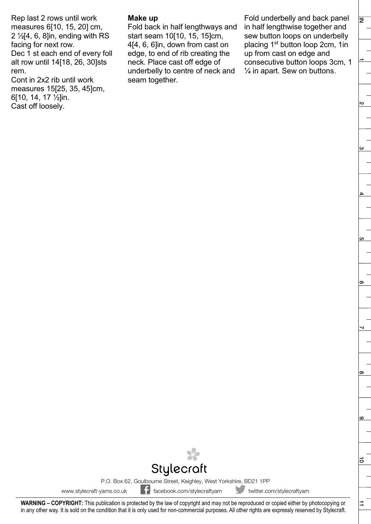Rep last 2 rows until work measures 6[10, 15, 20] cm,  $2 \frac{1}{2}$ [4, 6, 8]in, ending with RS facing for next row. Dec 1 st each end of every foll alt row until 14[18, 26, 30]sts rem. Cont in 2x2 rib until work

measures 15[25, 35, 45]cm, 6[10, 14, 17 ½]in. Cast off loosely.

#### **Make up**

Fold back in half lengthways and start seam 10[10, 15, 15]cm, 4[4, 6, 6]in, down from cast on edge, to end of rib creating the neck. Place cast off edge of underbelly to centre of neck and seam together.

Fold underbelly and back panel in half lengthwise together and sew button loops on underbelly placing 1<sup>st</sup> button loop 2cm, 1in up from cast on edge and consecutive button loops 3cm, 1  $\frac{1}{4}$  in apart. Sew on buttons.

⇉

ΙΞ



P.O. Box 62, Goulbourne Street, Keighley, West Yorkshire, BD21 1PP

www.stylecraft-yarns.co.uk facebook.com/stylecraftyarn twitter.com/stylecraftyarn

**WARNING – COPYRIGHT:** This publication is protected by the law of copyright and may not be reproduced or copied either by photocopying or in any other way. It is sold on the condition that it is only used for non-commercial purposes. All other rights are expressly reserved by Stylecraft.